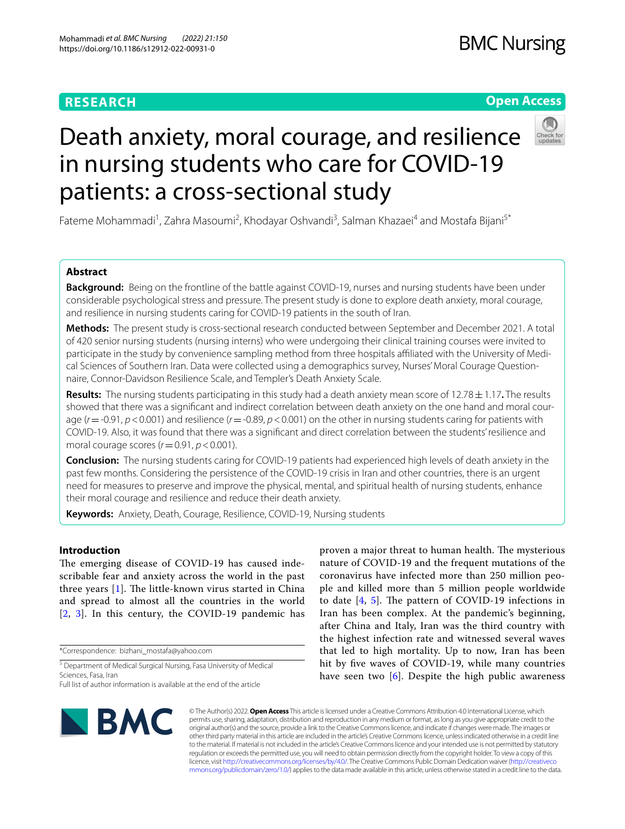# **RESEARCH**

# **Open Access**



# Death anxiety, moral courage, and resilience in nursing students who care for COVID-19 patients: a cross-sectional study

Fateme Mohammadi<sup>1</sup>, Zahra Masoumi<sup>2</sup>, Khodayar Oshvandi<sup>3</sup>, Salman Khazaei<sup>4</sup> and Mostafa Bijani<sup>5\*</sup>

# **Abstract**

**Background:** Being on the frontline of the battle against COVID-19, nurses and nursing students have been under considerable psychological stress and pressure. The present study is done to explore death anxiety, moral courage, and resilience in nursing students caring for COVID-19 patients in the south of Iran.

**Methods:** The present study is cross-sectional research conducted between September and December 2021. A total of 420 senior nursing students (nursing interns) who were undergoing their clinical training courses were invited to participate in the study by convenience sampling method from three hospitals affiliated with the University of Medical Sciences of Southern Iran. Data were collected using a demographics survey, Nurses' Moral Courage Questionnaire, Connor-Davidson Resilience Scale, and Templer's Death Anxiety Scale.

**Results:** The nursing students participating in this study had a death anxiety mean score of 12.78±1.17**.** The results showed that there was a signifcant and indirect correlation between death anxiety on the one hand and moral courage (*r*=-0.91, *p*<0.001) and resilience (*r*=-0.89, *p*<0.001) on the other in nursing students caring for patients with COVID-19. Also, it was found that there was a signifcant and direct correlation between the students' resilience and moral courage scores (*r*=0.91, *p*<0.001).

**Conclusion:** The nursing students caring for COVID-19 patients had experienced high levels of death anxiety in the past few months. Considering the persistence of the COVID-19 crisis in Iran and other countries, there is an urgent need for measures to preserve and improve the physical, mental, and spiritual health of nursing students, enhance their moral courage and resilience and reduce their death anxiety.

**Keywords:** Anxiety, Death, Courage, Resilience, COVID-19, Nursing students

# **Introduction**

The emerging disease of COVID-19 has caused indescribable fear and anxiety across the world in the past three years  $[1]$  $[1]$ . The little-known virus started in China and spread to almost all the countries in the world [[2](#page-5-1), [3](#page-5-2)]. In this century, the COVID-19 pandemic has

\*Correspondence: bizhani\_mostafa@yahoo.com

<sup>5</sup> Department of Medical Surgical Nursing, Fasa University of Medical Sciences, Fasa, Iran

proven a major threat to human health. The mysterious nature of COVID-19 and the frequent mutations of the coronavirus have infected more than 250 million people and killed more than 5 million people worldwide to date  $[4, 5]$  $[4, 5]$  $[4, 5]$ . The pattern of COVID-19 infections in Iran has been complex. At the pandemic's beginning, after China and Italy, Iran was the third country with the highest infection rate and witnessed several waves that led to high mortality. Up to now, Iran has been hit by five waves of COVID-19, while many countries have seen two  $[6]$  $[6]$ . Despite the high public awareness



© The Author(s) 2022. **Open Access** This article is licensed under a Creative Commons Attribution 4.0 International License, which permits use, sharing, adaptation, distribution and reproduction in any medium or format, as long as you give appropriate credit to the original author(s) and the source, provide a link to the Creative Commons licence, and indicate if changes were made. The images or other third party material in this article are included in the article's Creative Commons licence, unless indicated otherwise in a credit line to the material. If material is not included in the article's Creative Commons licence and your intended use is not permitted by statutory regulation or exceeds the permitted use, you will need to obtain permission directly from the copyright holder. To view a copy of this licence, visit [http://creativecommons.org/licenses/by/4.0/.](http://creativecommons.org/licenses/by/4.0/) The Creative Commons Public Domain Dedication waiver ([http://creativeco](http://creativecommons.org/publicdomain/zero/1.0/) [mmons.org/publicdomain/zero/1.0/](http://creativecommons.org/publicdomain/zero/1.0/)) applies to the data made available in this article, unless otherwise stated in a credit line to the data.

Full list of author information is available at the end of the article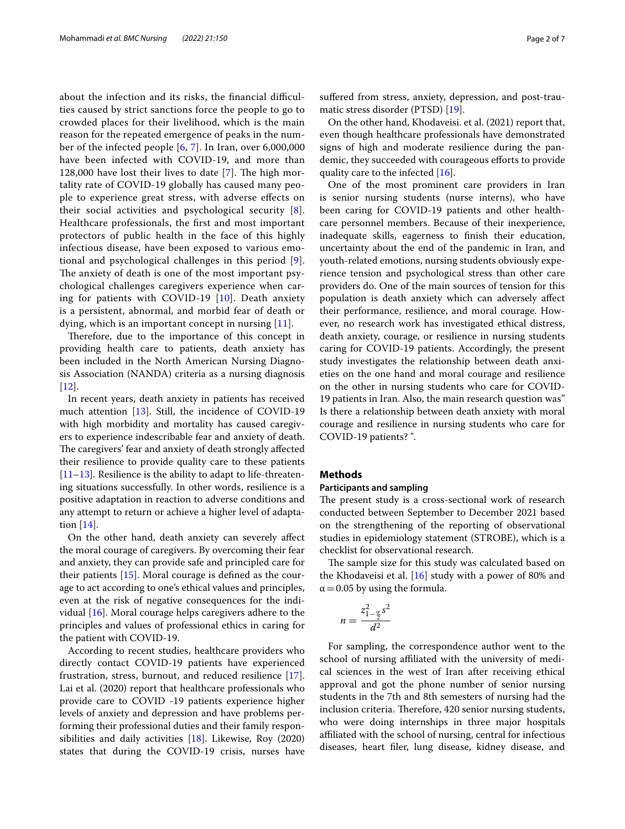about the infection and its risks, the financial difficulties caused by strict sanctions force the people to go to crowded places for their livelihood, which is the main reason for the repeated emergence of peaks in the number of the infected people [[6,](#page-6-1) [7\]](#page-6-2). In Iran, over 6,000,000 have been infected with COVID-19, and more than 128,000 have lost their lives to date  $[7]$  $[7]$  $[7]$ . The high mortality rate of COVID-19 globally has caused many people to experience great stress, with adverse efects on their social activities and psychological security [[8\]](#page-6-3). Healthcare professionals, the frst and most important protectors of public health in the face of this highly infectious disease, have been exposed to various emotional and psychological challenges in this period [[9\]](#page-6-4). The anxiety of death is one of the most important psychological challenges caregivers experience when caring for patients with COVID-19 [[10](#page-6-5)]. Death anxiety is a persistent, abnormal, and morbid fear of death or dying, which is an important concept in nursing [\[11\]](#page-6-6).

Therefore, due to the importance of this concept in providing health care to patients, death anxiety has been included in the North American Nursing Diagnosis Association (NANDA) criteria as a nursing diagnosis [[12\]](#page-6-7).

In recent years, death anxiety in patients has received much attention [\[13\]](#page-6-8). Still, the incidence of COVID-19 with high morbidity and mortality has caused caregivers to experience indescribable fear and anxiety of death. The caregivers' fear and anxiety of death strongly affected their resilience to provide quality care to these patients [[11–](#page-6-6)[13](#page-6-8)]. Resilience is the ability to adapt to life-threatening situations successfully. In other words, resilience is a positive adaptation in reaction to adverse conditions and any attempt to return or achieve a higher level of adaptation [[14\]](#page-6-9).

On the other hand, death anxiety can severely afect the moral courage of caregivers. By overcoming their fear and anxiety, they can provide safe and principled care for their patients [[15](#page-6-10)]. Moral courage is defned as the courage to act according to one's ethical values and principles, even at the risk of negative consequences for the individual [[16](#page-6-11)]. Moral courage helps caregivers adhere to the principles and values of professional ethics in caring for the patient with COVID-19.

According to recent studies, healthcare providers who directly contact COVID-19 patients have experienced frustration, stress, burnout, and reduced resilience [\[17](#page-6-12)]. Lai et al. (2020) report that healthcare professionals who provide care to COVID -19 patients experience higher levels of anxiety and depression and have problems performing their professional duties and their family responsibilities and daily activities [\[18](#page-6-13)]. Likewise, Roy (2020) states that during the COVID-19 crisis, nurses have suffered from stress, anxiety, depression, and post-traumatic stress disorder (PTSD) [[19\]](#page-6-14).

On the other hand, Khodaveisi. et al. (2021) report that, even though healthcare professionals have demonstrated signs of high and moderate resilience during the pandemic, they succeeded with courageous efforts to provide quality care to the infected [\[16\]](#page-6-11).

One of the most prominent care providers in Iran is senior nursing students (nurse interns), who have been caring for COVID-19 patients and other healthcare personnel members. Because of their inexperience, inadequate skills, eagerness to fnish their education, uncertainty about the end of the pandemic in Iran, and youth-related emotions, nursing students obviously experience tension and psychological stress than other care providers do. One of the main sources of tension for this population is death anxiety which can adversely afect their performance, resilience, and moral courage. However, no research work has investigated ethical distress, death anxiety, courage, or resilience in nursing students caring for COVID-19 patients. Accordingly, the present study investigates the relationship between death anxieties on the one hand and moral courage and resilience on the other in nursing students who care for COVID-19 patients in Iran. Also, the main research question was" Is there a relationship between death anxiety with moral courage and resilience in nursing students who care for COVID-19 patients? ".

# **Methods**

# **Participants and sampling**

The present study is a cross-sectional work of research conducted between September to December 2021 based on the strengthening of the reporting of observational studies in epidemiology statement (STROBE), which is a checklist for observational research.

The sample size for this study was calculated based on the Khodaveisi et al. [[16\]](#page-6-11) study with a power of 80% and  $\alpha$  = 0.05 by using the formula.

$$
n = \frac{z_{1-\frac{\alpha}{2}}^2 s^2}{d^2}
$$

For sampling, the correspondence author went to the school of nursing afliated with the university of medical sciences in the west of Iran after receiving ethical approval and got the phone number of senior nursing students in the 7th and 8th semesters of nursing had the inclusion criteria. Therefore, 420 senior nursing students, who were doing internships in three major hospitals afliated with the school of nursing, central for infectious diseases, heart fler, lung disease, kidney disease, and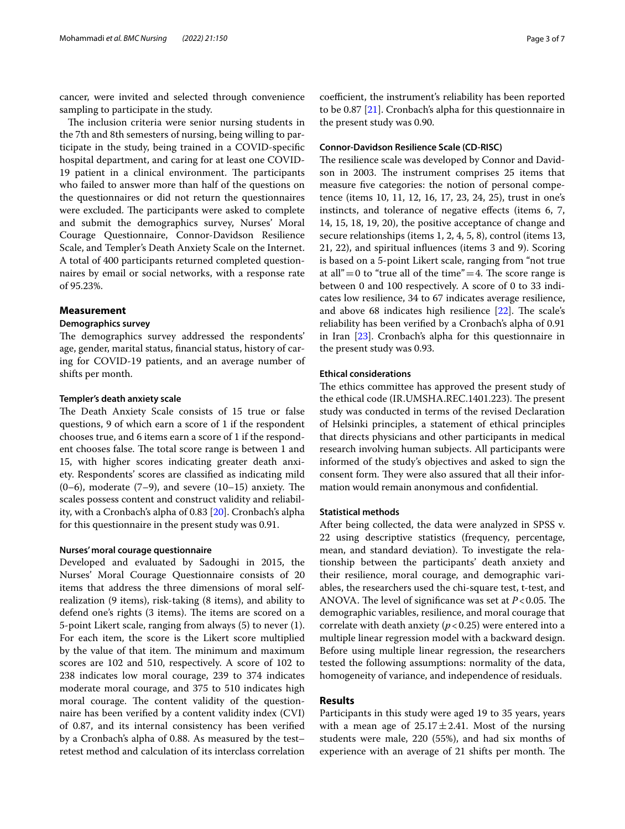cancer, were invited and selected through convenience sampling to participate in the study.

The inclusion criteria were senior nursing students in the 7th and 8th semesters of nursing, being willing to participate in the study, being trained in a COVID-specifc hospital department, and caring for at least one COVID-19 patient in a clinical environment. The participants who failed to answer more than half of the questions on the questionnaires or did not return the questionnaires were excluded. The participants were asked to complete and submit the demographics survey, Nurses' Moral Courage Questionnaire, Connor-Davidson Resilience Scale, and Templer's Death Anxiety Scale on the Internet. A total of 400 participants returned completed questionnaires by email or social networks, with a response rate of 95.23%.

# **Measurement**

# **Demographics survey**

The demographics survey addressed the respondents' age, gender, marital status, fnancial status, history of caring for COVID-19 patients, and an average number of shifts per month.

# **Templer's death anxiety scale**

The Death Anxiety Scale consists of 15 true or false questions, 9 of which earn a score of 1 if the respondent chooses true, and 6 items earn a score of 1 if the respondent chooses false. The total score range is between 1 and 15, with higher scores indicating greater death anxiety. Respondents' scores are classifed as indicating mild  $(0-6)$ , moderate  $(7-9)$ , and severe  $(10-15)$  anxiety. The scales possess content and construct validity and reliability, with a Cronbach's alpha of 0.83 [\[20](#page-6-15)]. Cronbach's alpha for this questionnaire in the present study was 0.91.

# **Nurses' moral courage questionnaire**

Developed and evaluated by Sadoughi in 2015, the Nurses' Moral Courage Questionnaire consists of 20 items that address the three dimensions of moral selfrealization (9 items), risk-taking (8 items), and ability to defend one's rights (3 items). The items are scored on a 5-point Likert scale, ranging from always (5) to never (1). For each item, the score is the Likert score multiplied by the value of that item. The minimum and maximum scores are 102 and 510, respectively. A score of 102 to 238 indicates low moral courage, 239 to 374 indicates moderate moral courage, and 375 to 510 indicates high moral courage. The content validity of the questionnaire has been verifed by a content validity index (CVI) of 0.87, and its internal consistency has been verifed by a Cronbach's alpha of 0.88. As measured by the test– retest method and calculation of its interclass correlation coefficient, the instrument's reliability has been reported to be 0.87 [\[21](#page-6-16)]. Cronbach's alpha for this questionnaire in the present study was 0.90.

# **Connor‑Davidson Resilience Scale (CD‑RISC)**

The resilience scale was developed by Connor and Davidson in 2003. The instrument comprises 25 items that measure fve categories: the notion of personal competence (items 10, 11, 12, 16, 17, 23, 24, 25), trust in one's instincts, and tolerance of negative efects (items 6, 7, 14, 15, 18, 19, 20), the positive acceptance of change and secure relationships (items 1, 2, 4, 5, 8), control (items 13, 21, 22), and spiritual infuences (items 3 and 9). Scoring is based on a 5-point Likert scale, ranging from "not true at all" = 0 to "true all of the time" = 4. The score range is between 0 and 100 respectively. A score of 0 to 33 indicates low resilience, 34 to 67 indicates average resilience, and above 68 indicates high resilience  $[22]$  $[22]$  $[22]$ . The scale's reliability has been verifed by a Cronbach's alpha of 0.91 in Iran [[23\]](#page-6-18). Cronbach's alpha for this questionnaire in the present study was 0.93.

### **Ethical considerations**

The ethics committee has approved the present study of the ethical code (IR.UMSHA.REC.1401.223). The present study was conducted in terms of the revised Declaration of Helsinki principles, a statement of ethical principles that directs physicians and other participants in medical research involving human subjects. All participants were informed of the study's objectives and asked to sign the consent form. They were also assured that all their information would remain anonymous and confdential.

# **Statistical methods**

After being collected, the data were analyzed in SPSS v. 22 using descriptive statistics (frequency, percentage, mean, and standard deviation). To investigate the relationship between the participants' death anxiety and their resilience, moral courage, and demographic variables, the researchers used the chi-square test, t-test, and ANOVA. The level of significance was set at  $P < 0.05$ . The demographic variables, resilience, and moral courage that correlate with death anxiety  $(p < 0.25)$  were entered into a multiple linear regression model with a backward design. Before using multiple linear regression, the researchers tested the following assumptions: normality of the data, homogeneity of variance, and independence of residuals.

# **Results**

Participants in this study were aged 19 to 35 years, years with a mean age of  $25.17 \pm 2.41$ . Most of the nursing students were male, 220 (55%), and had six months of experience with an average of 21 shifts per month. The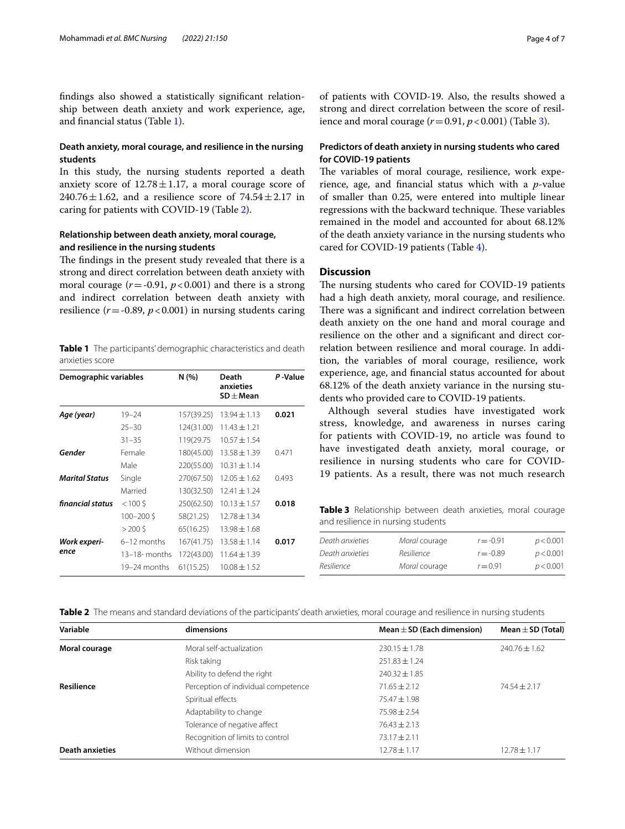fndings also showed a statistically signifcant relationship between death anxiety and work experience, age, and fnancial status (Table [1](#page-3-0)).

# **Death anxiety, moral courage, and resilience in the nursing students**

In this study, the nursing students reported a death anxiety score of  $12.78 \pm 1.17$ , a moral courage score of 240.76 $\pm$ 1.62, and a resilience score of 74.54 $\pm$ 2.17 in caring for patients with COVID-19 (Table [2\)](#page-3-1).

# **Relationship between death anxiety, moral courage, and resilience in the nursing students**

The findings in the present study revealed that there is a strong and direct correlation between death anxiety with moral courage  $(r = -0.91, p < 0.001)$  and there is a strong and indirect correlation between death anxiety with resilience  $(r = -0.89, p < 0.001)$  in nursing students caring

<span id="page-3-0"></span>**Table 1** The participants' demographic characteristics and death anxieties score

| Demographic variables |                  | N(%)       | Death<br>anxieties<br>$SD \pm M$ ean | P-Value |  |
|-----------------------|------------------|------------|--------------------------------------|---------|--|
| Age (year)            | $19 - 24$        | 157(39.25) | $13.94 \pm 1.13$                     | 0.021   |  |
|                       | $25 - 30$        | 124(31.00) | $11.43 \pm 1.21$                     |         |  |
|                       | $31 - 35$        | 119(29.75) | $10.57 \pm 1.54$                     |         |  |
| Gender                | Female           | 180(45.00) | $13.58 \pm 1.39$                     | 0.471   |  |
|                       | Male             | 220(55.00) | $10.31 \pm 1.14$                     |         |  |
| <b>Marital Status</b> | Single           | 270(67.50) | $12.05 \pm 1.62$                     | 0.493   |  |
|                       | Married          | 130(32.50) | $12.41 \pm 1.24$                     |         |  |
| financial status      | $< 100$ \$       | 250(62.50) | $10.13 \pm 1.57$                     | 0.018   |  |
|                       | $100 - 2005$     | 58(21.25)  | $12.78 \pm 1.34$                     |         |  |
|                       | $>200$ \$        | 65(16.25)  | $13.98 \pm 1.68$                     |         |  |
| Work experi-          | 6-12 months      | 167(41.75) | $13.58 \pm 1.14$                     | 0.017   |  |
| ence                  | $13-18$ - months | 172(43.00) | $11.64 \pm 1.39$                     |         |  |
|                       | 19–24 months     | 61(15.25)  | $10.08 \pm 1.52$                     |         |  |

of patients with COVID-19. Also, the results showed a strong and direct correlation between the score of resilience and moral courage  $(r=0.91, p<0.001)$  (Table [3\)](#page-3-2).

# **Predictors of death anxiety in nursing students who cared for COVID‑19 patients**

The variables of moral courage, resilience, work experience, age, and fnancial status which with a *p*-value of smaller than 0.25, were entered into multiple linear regressions with the backward technique. These variables remained in the model and accounted for about 68.12% of the death anxiety variance in the nursing students who cared for COVID-19 patients (Table [4\)](#page-4-0).

# **Discussion**

The nursing students who cared for COVID-19 patients had a high death anxiety, moral courage, and resilience. There was a significant and indirect correlation between death anxiety on the one hand and moral courage and resilience on the other and a signifcant and direct correlation between resilience and moral courage. In addition, the variables of moral courage, resilience, work experience, age, and fnancial status accounted for about 68.12% of the death anxiety variance in the nursing students who provided care to COVID-19 patients.

Although several studies have investigated work stress, knowledge, and awareness in nurses caring for patients with COVID-19, no article was found to have investigated death anxiety, moral courage, or resilience in nursing students who care for COVID-19 patients. As a result, there was not much research

<span id="page-3-2"></span>**Table 3** Relationship between death anxieties, moral courage and resilience in nursing students

| Death anxieties | Moral courage | $r = -0.91$ | p < 0.001 |
|-----------------|---------------|-------------|-----------|
| Death anxieties | Resilience    | $r = -0.89$ | p < 0.001 |
| Resilience      | Moral courage | $r = 0.91$  | p < 0.001 |

<span id="page-3-1"></span>**Table 2** The means and standard deviations of the participants' death anxieties, moral courage and resilience in nursing students

| Variable               | dimensions                          | Mean $\pm$ SD (Each dimension) | Mean $\pm$ SD (Total) |  |
|------------------------|-------------------------------------|--------------------------------|-----------------------|--|
| Moral courage          | Moral self-actualization            | $230.15 \pm 1.78$              | $240.76 \pm 1.62$     |  |
|                        | Risk taking                         | $251.83 \pm 1.24$              |                       |  |
|                        | Ability to defend the right         | $240.32 \pm 1.85$              |                       |  |
| <b>Resilience</b>      | Perception of individual competence | $71.65 + 2.12$                 | $74.54 \pm 2.17$      |  |
|                        | Spiritual effects                   | $75.47 \pm 1.98$               |                       |  |
|                        | Adaptability to change              | $75.98 + 2.54$                 |                       |  |
|                        | Tolerance of negative affect        | $76.43 \pm 2.13$               |                       |  |
|                        | Recognition of limits to control    | $73.17 \pm 2.11$               |                       |  |
| <b>Death anxieties</b> | Without dimension                   | $12.78 \pm 1.17$               | $12.78 \pm 1.17$      |  |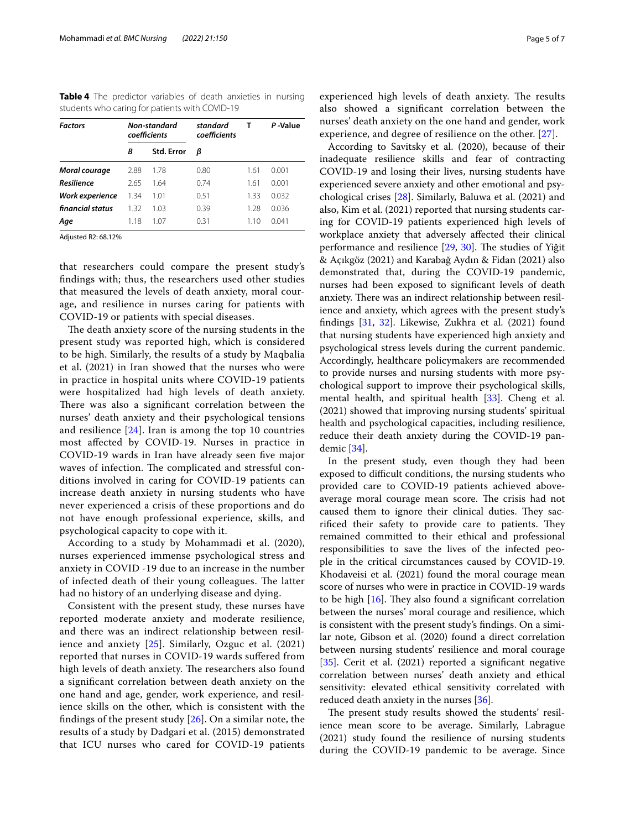<span id="page-4-0"></span>**Table 4** The predictor variables of death anxieties in nursing students who caring for patients with COVID-19

| <b>Factors</b>   | Non-standard<br>coefficients |                   | standard<br>coefficients | т    | P-Value |
|------------------|------------------------------|-------------------|--------------------------|------|---------|
|                  | В                            | <b>Std. Error</b> | ß                        |      |         |
| Moral courage    | 2.88                         | 1.78              | 0.80                     | 1.61 | 0.001   |
| Resilience       | 265                          | 1.64              | 074                      | 1.61 | 0.001   |
| Work experience  | 1.34                         | 1.01              | 0.51                     | 1.33 | 0032    |
| financial status | 1.32                         | 1.03              | 0.39                     | 1.28 | 0.036   |
| Age              | 1.18                         | 1.07              | 0.31                     | 110  | 0.041   |

Adjusted R2: 68.12%

that researchers could compare the present study's fndings with; thus, the researchers used other studies that measured the levels of death anxiety, moral courage, and resilience in nurses caring for patients with COVID-19 or patients with special diseases.

The death anxiety score of the nursing students in the present study was reported high, which is considered to be high. Similarly, the results of a study by Maqbalia et al. (2021) in Iran showed that the nurses who were in practice in hospital units where COVID-19 patients were hospitalized had high levels of death anxiety. There was also a significant correlation between the nurses' death anxiety and their psychological tensions and resilience [[24](#page-6-19)]. Iran is among the top 10 countries most afected by COVID-19. Nurses in practice in COVID-19 wards in Iran have already seen fve major waves of infection. The complicated and stressful conditions involved in caring for COVID-19 patients can increase death anxiety in nursing students who have never experienced a crisis of these proportions and do not have enough professional experience, skills, and psychological capacity to cope with it.

According to a study by Mohammadi et al. (2020), nurses experienced immense psychological stress and anxiety in COVID -19 due to an increase in the number of infected death of their young colleagues. The latter had no history of an underlying disease and dying.

Consistent with the present study, these nurses have reported moderate anxiety and moderate resilience, and there was an indirect relationship between resilience and anxiety [\[25\]](#page-6-20). Similarly, Ozguc et al. (2021) reported that nurses in COVID-19 wards sufered from high levels of death anxiety. The researchers also found a signifcant correlation between death anxiety on the one hand and age, gender, work experience, and resilience skills on the other, which is consistent with the fndings of the present study [\[26\]](#page-6-21). On a similar note, the results of a study by Dadgari et al. (2015) demonstrated that ICU nurses who cared for COVID-19 patients

According to Savitsky et al. (2020), because of their inadequate resilience skills and fear of contracting COVID-19 and losing their lives, nursing students have experienced severe anxiety and other emotional and psychological crises [[28\]](#page-6-23). Similarly, Baluwa et al. (2021) and also, Kim et al. (2021) reported that nursing students caring for COVID-19 patients experienced high levels of workplace anxiety that adversely afected their clinical performance and resilience [\[29,](#page-6-24) [30](#page-6-25)]. The studies of Yiğit & Açıkgöz (2021) and Karabağ Aydın & Fidan (2021) also demonstrated that, during the COVID-19 pandemic, nurses had been exposed to signifcant levels of death anxiety. There was an indirect relationship between resilience and anxiety, which agrees with the present study's fndings [\[31,](#page-6-26) [32](#page-6-27)]. Likewise, Zukhra et al. (2021) found that nursing students have experienced high anxiety and psychological stress levels during the current pandemic. Accordingly, healthcare policymakers are recommended to provide nurses and nursing students with more psychological support to improve their psychological skills, mental health, and spiritual health [\[33\]](#page-6-28). Cheng et al. (2021) showed that improving nursing students' spiritual health and psychological capacities, including resilience, reduce their death anxiety during the COVID-19 pandemic [\[34](#page-6-29)].

In the present study, even though they had been exposed to difficult conditions, the nursing students who provided care to COVID-19 patients achieved aboveaverage moral courage mean score. The crisis had not caused them to ignore their clinical duties. They sacrificed their safety to provide care to patients. They remained committed to their ethical and professional responsibilities to save the lives of the infected people in the critical circumstances caused by COVID-19. Khodaveisi et al. (2021) found the moral courage mean score of nurses who were in practice in COVID-19 wards to be high  $[16]$  $[16]$ . They also found a significant correlation between the nurses' moral courage and resilience, which is consistent with the present study's fndings. On a similar note, Gibson et al. (2020) found a direct correlation between nursing students' resilience and moral courage [[35\]](#page-6-30). Cerit et al. (2021) reported a significant negative correlation between nurses' death anxiety and ethical sensitivity: elevated ethical sensitivity correlated with reduced death anxiety in the nurses [[36\]](#page-6-31).

The present study results showed the students' resilience mean score to be average. Similarly, Labrague (2021) study found the resilience of nursing students during the COVID-19 pandemic to be average. Since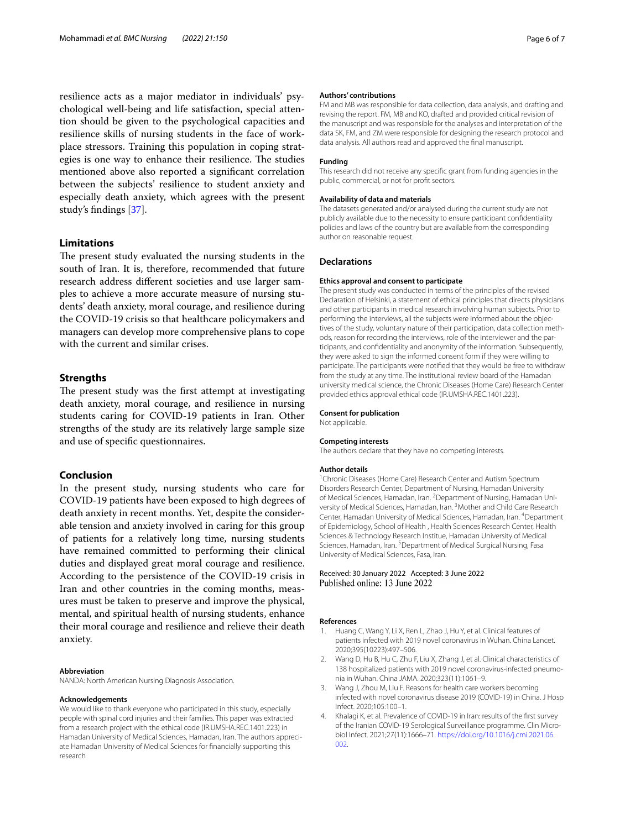resilience acts as a major mediator in individuals' psychological well-being and life satisfaction, special attention should be given to the psychological capacities and resilience skills of nursing students in the face of workplace stressors. Training this population in coping strategies is one way to enhance their resilience. The studies mentioned above also reported a signifcant correlation between the subjects' resilience to student anxiety and especially death anxiety, which agrees with the present study's fndings [[37\]](#page-6-32).

# **Limitations**

The present study evaluated the nursing students in the south of Iran. It is, therefore, recommended that future research address diferent societies and use larger samples to achieve a more accurate measure of nursing students' death anxiety, moral courage, and resilience during the COVID-19 crisis so that healthcare policymakers and managers can develop more comprehensive plans to cope with the current and similar crises.

# **Strengths**

The present study was the first attempt at investigating death anxiety, moral courage, and resilience in nursing students caring for COVID-19 patients in Iran. Other strengths of the study are its relatively large sample size and use of specifc questionnaires.

# **Conclusion**

In the present study, nursing students who care for COVID-19 patients have been exposed to high degrees of death anxiety in recent months. Yet, despite the considerable tension and anxiety involved in caring for this group of patients for a relatively long time, nursing students have remained committed to performing their clinical duties and displayed great moral courage and resilience. According to the persistence of the COVID-19 crisis in Iran and other countries in the coming months, measures must be taken to preserve and improve the physical, mental, and spiritual health of nursing students, enhance their moral courage and resilience and relieve their death anxiety.

#### **Abbreviation**

NANDA: North American Nursing Diagnosis Association.

#### **Acknowledgements**

We would like to thank everyone who participated in this study, especially people with spinal cord injuries and their families. This paper was extracted from a research project with the ethical code (IR.UMSHA.REC.1401.223) in Hamadan University of Medical Sciences, Hamadan, Iran. The authors appreciate Hamadan University of Medical Sciences for fnancially supporting this research

#### **Authors' contributions**

FM and MB was responsible for data collection, data analysis, and drafting and revising the report. FM, MB and KO, drafted and provided critical revision of the manuscript and was responsible for the analyses and interpretation of the data SK, FM, and ZM were responsible for designing the research protocol and data analysis. All authors read and approved the fnal manuscript.

#### **Funding**

This research did not receive any specifc grant from funding agencies in the public, commercial, or not for proft sectors.

#### **Availability of data and materials**

The datasets generated and/or analysed during the current study are not publicly available due to the necessity to ensure participant confdentiality policies and laws of the country but are available from the corresponding author on reasonable request.

#### **Declarations**

#### **Ethics approval and consent to participate**

The present study was conducted in terms of the principles of the revised Declaration of Helsinki, a statement of ethical principles that directs physicians and other participants in medical research involving human subjects. Prior to performing the interviews, all the subjects were informed about the objectives of the study, voluntary nature of their participation, data collection methods, reason for recording the interviews, role of the interviewer and the participants, and confdentiality and anonymity of the information. Subsequently, they were asked to sign the informed consent form if they were willing to participate. The participants were notifed that they would be free to withdraw from the study at any time. The institutional review board of the Hamadan university medical science, the Chronic Diseases (Home Care) Research Center provided ethics approval ethical code (IR.UMSHA.REC.1401.223).

#### **Consent for publication**

Not applicable.

#### **Competing interests**

The authors declare that they have no competing interests.

#### **Author details**

<sup>1</sup> Chronic Diseases (Home Care) Research Center and Autism Spectrum Disorders Research Center, Department of Nursing, Hamadan University of Medical Sciences, Hamadan, Iran. <sup>2</sup> Department of Nursing, Hamadan University of Medical Sciences, Hamadan, Iran. <sup>3</sup> Mother and Child Care Research Center, Hamadan University of Medical Sciences, Hamadan, Iran. <sup>4</sup> Department of Epidemiology, School of Health , Health Sciences Research Center, Health Sciences & Technology Research Institue, Hamadan University of Medical Sciences, Hamadan, Iran. <sup>5</sup> Department of Medical Surgical Nursing, Fasa University of Medical Sciences, Fasa, Iran.

# Received: 30 January 2022 Accepted: 3 June 2022<br>Published online: 13 June 2022

#### **References**

- <span id="page-5-0"></span>1. Huang C, Wang Y, Li X, Ren L, Zhao J, Hu Y, et al. Clinical features of patients infected with 2019 novel coronavirus in Wuhan. China Lancet. 2020;395(10223):497–506.
- <span id="page-5-1"></span>2. Wang D, Hu B, Hu C, Zhu F, Liu X, Zhang J, et al. Clinical characteristics of 138 hospitalized patients with 2019 novel coronavirus-infected pneumonia in Wuhan. China JAMA. 2020;323(11):1061–9.
- <span id="page-5-2"></span>3. Wang J, Zhou M, Liu F. Reasons for health care workers becoming infected with novel coronavirus disease 2019 (COVID-19) in China. J Hosp Infect. 2020;105:100–1.
- <span id="page-5-3"></span>4. Khalagi K, et al. Prevalence of COVID-19 in Iran: results of the frst survey of the Iranian COVID-19 Serological Surveillance programme. Clin Microbiol Infect. 2021;27(11):1666–71. [https://doi.org/10.1016/j.cmi.2021.06.](https://doi.org/10.1016/j.cmi.2021.06.002) [002.](https://doi.org/10.1016/j.cmi.2021.06.002)